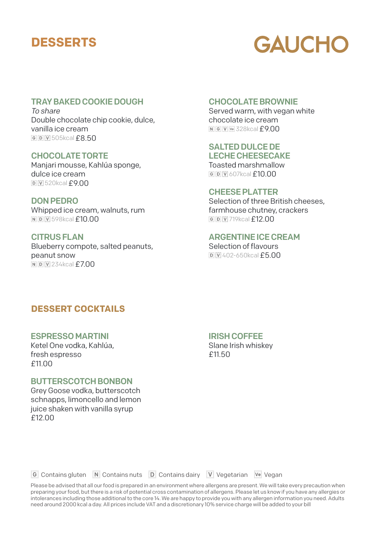# **DESSERTS**

# **GAUCHO**

# TRAY BAKED COOKIE DOUGH

To share Double chocolate chip cookie, dulce, vanilla ice cream 505kcal£8.50

CHOCOLATE TORTE Manjari mousse, Kahlúa sponge, dulce ice cream 520kcal£9.00

DON PEDRO Whipped ice cream, walnuts, rum **NDW1598kcal £10.00** 

CITRUS FLAN Blueberry compote, salted peanuts, peanut snow **NDW234kcal £7.00** 

## CHOCOLATE BROWNIE

Served warm, with vegan white chocolate ice cream **IN GIV WE 328kcal £9.00** 

# SALTED DULCE DE

LECHE CHEESECAKE Toasted marshmallow  $600V$ 607kcal $f10.00$ 

### CHEESE PLATTER

Selection of three British cheeses, farmhouse chutney, crackers *G* D V 719kcal **£12 00** 

## ARGENTINE ICE CREAM

Selection of flavours 402-650kcal£5.00

# **DESSERT COCKTAILS**

# ESPRESSO MARTINI

Ketel One vodka, Kahlúa, fresh espresso £11.00

### BUTTERSCOTCH BONBON

Grey Goose vodka, butterscotch schnapps, limoncello and lemon juice shaken with vanilla syrup £12.00

### IRISH COFFEE

Slane Irish whiskey £11.50

Contains gluten Contains nuts Contains dairy Vegetarian Vegan

Please be advised that all our food is prepared in an environment where allergens are present. We will take every precaution when preparing your food, but there is a risk of potential cross contamination of allergens. Please let us know if you have any allergies or intolerances including those additional to the core 14. We are happy to provide you with any allergen information you need. Adults need around 2000 kcal a day. All prices include VAT and a discretionary 10% service charge will be added to your bill